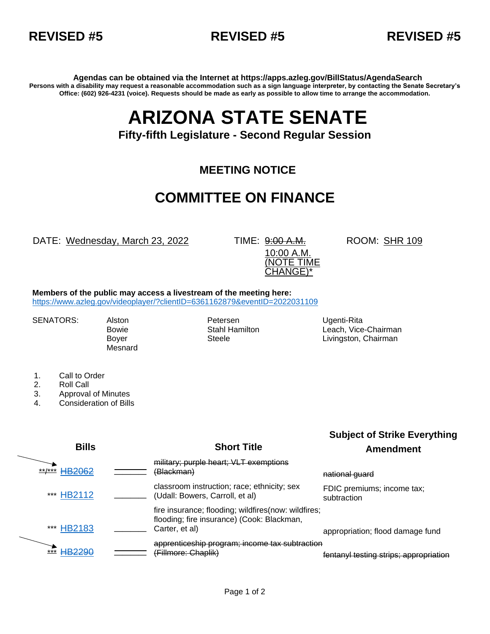



**Agendas can be obtained via the Internet at https://apps.azleg.gov/BillStatus/AgendaSearch Persons with a disability may request a reasonable accommodation such as a sign language interpreter, by contacting the Senate Secretary's Office: (602) 926-4231 (voice). Requests should be made as early as possible to allow time to arrange the accommodation.**

## **ARIZONA STATE SENATE**

## **Fifty-fifth Legislature - Second Regular Session**

## **MEETING NOTICE**

## **COMMITTEE ON FINANCE**

DATE: Wednesday, March 23, 2022 TIME: 9:00 A.M.

10:00 A.M. (NOTE TIME CHANGE)\*

ROOM: SHR 109

**Members of the public may access a livestream of the meeting here:** 

<https://www.azleg.gov/videoplayer/?clientID=6361162879&eventID=2022031109>

Mesnard

SENATORS: Alston **Petersen** Petersen Ugenti-Rita

Bowie **Stahl Hamilton** Leach, Vice-Chairman **Communist Communist Communist Communist** Boyer Steele Steele Livingston, Chairman

- 1. Call to Order
- 2. Roll Call
- 3. Approval of Minutes
- 4. Consideration of Bills

**Bills Short Title Subject of Strike Everything Amendment** \*\*/\*\*\* **[HB2062](https://apps.azleg.gov/BillStatus/BillOverview/76435)** military; purple heart; VLT exemptions (Blackman) and the control of the mational guard \*\*\* [HB2112](https://apps.azleg.gov/BillStatus/BillOverview/76499) **\_\_\_\_** classroom instruction; race; ethnicity; sex (Udall: Bowers, Carroll, et al) FDIC premiums; income tax; subtraction **[HB2183](https://apps.azleg.gov/BillStatus/BillOverview/76606)** fire insurance; flooding; wildfires(now: wildfires; flooding; fire insurance) (Cook: Blackman, Carter, et al) appropriation; flood damage fund \*\*\* [HB2290](https://apps.azleg.gov/BillStatus/BillOverview/76759) **\_\_\_\_** apprenticeship program; income tax subtraction (Fillmore: Chaplik) fentanyl testing strips; appropriation